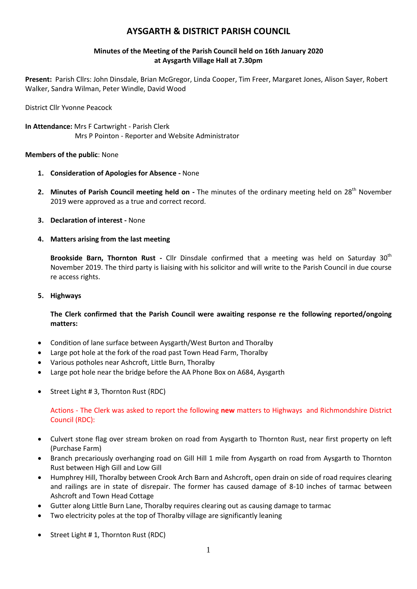# **AYSGARTH & DISTRICT PARISH COUNCIL**

# **Minutes of the Meeting of the Parish Council held on 16th January 2020 at Aysgarth Village Hall at 7.30pm**

**Present:** Parish Cllrs: John Dinsdale, Brian McGregor, Linda Cooper, Tim Freer, Margaret Jones, Alison Sayer, Robert Walker, Sandra Wilman, Peter Windle, David Wood

District Cllr Yvonne Peacock

**In Attendance:** Mrs F Cartwright - Parish Clerk Mrs P Pointon - Reporter and Website Administrator

# **Members of the public**: None

- **1. Consideration of Apologies for Absence -** None
- 2. Minutes of Parish Council meeting held on The minutes of the ordinary meeting held on 28<sup>th</sup> November 2019 were approved as a true and correct record.
- **3. Declaration of interest -** None
- **4. Matters arising from the last meeting**

**Brookside Barn, Thornton Rust** - Cllr Dinsdale confirmed that a meeting was held on Saturday 30<sup>th</sup> November 2019. The third party is liaising with his solicitor and will write to the Parish Council in due course re access rights.

**5. Highways**

**The Clerk confirmed that the Parish Council were awaiting response re the following reported/ongoing matters:**

- Condition of lane surface between Aysgarth/West Burton and Thoralby
- Large pot hole at the fork of the road past Town Head Farm, Thoralby
- Various potholes near Ashcroft, Little Burn, Thoralby
- Large pot hole near the bridge before the AA Phone Box on A684, Aysgarth
- Street Light # 3, Thornton Rust (RDC)

Actions - The Clerk was asked to report the following **new** matters to Highways and Richmondshire District Council (RDC):

- Culvert stone flag over stream broken on road from Aysgarth to Thornton Rust, near first property on left (Purchase Farm)
- Branch precariously overhanging road on Gill Hill 1 mile from Aysgarth on road from Aysgarth to Thornton Rust between High Gill and Low Gill
- Humphrey Hill, Thoralby between Crook Arch Barn and Ashcroft, open drain on side of road requires clearing and railings are in state of disrepair. The former has caused damage of 8-10 inches of tarmac between Ashcroft and Town Head Cottage
- Gutter along Little Burn Lane, Thoralby requires clearing out as causing damage to tarmac
- Two electricity poles at the top of Thoralby village are significantly leaning
- Street Light # 1, Thornton Rust (RDC)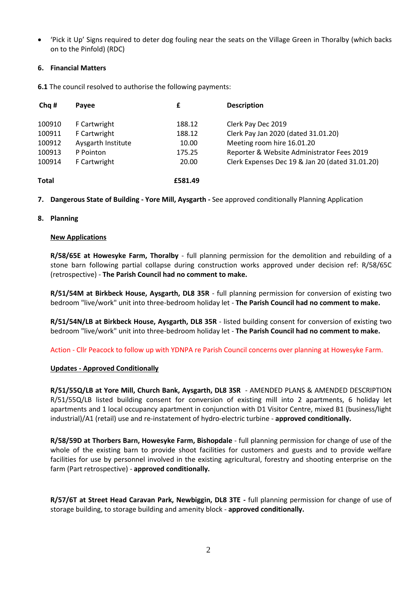'Pick it Up' Signs required to deter dog fouling near the seats on the Village Green in Thoralby (which backs on to the Pinfold) (RDC)

# **6. Financial Matters**

**6.1** The council resolved to authorise the following payments:

| Cha #  | Payee              | £       | <b>Description</b>                              |
|--------|--------------------|---------|-------------------------------------------------|
| 100910 | F Cartwright       | 188.12  | Clerk Pay Dec 2019                              |
| 100911 | F Cartwright       | 188.12  | Clerk Pay Jan 2020 (dated 31.01.20)             |
| 100912 | Aysgarth Institute | 10.00   | Meeting room hire 16.01.20                      |
| 100913 | P Pointon          | 175.25  | Reporter & Website Administrator Fees 2019      |
| 100914 | F Cartwright       | 20.00   | Clerk Expenses Dec 19 & Jan 20 (dated 31.01.20) |
| Total  |                    | £581.49 |                                                 |

**7. Dangerous State of Building - Yore Mill, Aysgarth -** See approved conditionally Planning Application

# **8. Planning**

# **New Applications**

**R/58/65E at Howesyke Farm, Thoralby** - full planning permission for the demolition and rebuilding of a stone barn following partial collapse during construction works approved under decision ref: R/58/65C (retrospective) - **The Parish Council had no comment to make.**

**R/51/54M at Birkbeck House, Aysgarth, DL8 35R** - full planning permission for conversion of existing two bedroom "live/work" unit into three-bedroom holiday let - **The Parish Council had no comment to make.**

**R/51/54N/LB at Birkbeck House, Aysgarth, DL8 35R** - listed building consent for conversion of existing two bedroom "live/work" unit into three-bedroom holiday let - **The Parish Council had no comment to make.**

Action - Cllr Peacock to follow up with YDNPA re Parish Council concerns over planning at Howesyke Farm.

# **Updates - Approved Conditionally**

**R/51/55Q/LB at Yore Mill, Church Bank, Aysgarth, DL8 3SR** - AMENDED PLANS & AMENDED DESCRIPTION R/51/55Q/LB listed building consent for conversion of existing mill into 2 apartments, 6 holiday let apartments and 1 local occupancy apartment in conjunction with D1 Visitor Centre, mixed B1 (business/light industrial)/A1 (retail) use and re-instatement of hydro-electric turbine - **approved conditionally.**

**R/58/59D at Thorbers Barn, Howesyke Farm, Bishopdale** - full planning permission for change of use of the whole of the existing barn to provide shoot facilities for customers and guests and to provide welfare facilities for use by personnel involved in the existing agricultural, forestry and shooting enterprise on the farm (Part retrospective) - **approved conditionally.**

**R/57/6T at Street Head Caravan Park, Newbiggin, DL8 3TE -** full planning permission for change of use of storage building, to storage building and amenity block - **approved conditionally.**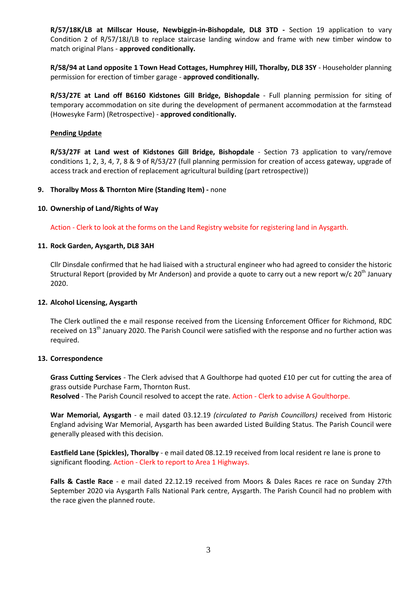**R/57/18K/LB at Millscar House, Newbiggin-in-Bishopdale, DL8 3TD -** Section 19 application to vary Condition 2 of R/57/18J/LB to replace staircase landing window and frame with new timber window to match original Plans - **approved conditionally.**

**R/58/94 at Land opposite 1 Town Head Cottages, Humphrey Hill, Thoralby, DL8 3SY** - Householder planning permission for erection of timber garage - **approved conditionally.**

**R/53/27E at Land off B6160 Kidstones Gill Bridge, Bishopdale** - Full planning permission for siting of temporary accommodation on site during the development of permanent accommodation at the farmstead (Howesyke Farm) (Retrospective) - **approved conditionally.**

### **Pending Update**

**R/53/27F at Land west of Kidstones Gill Bridge, Bishopdale** - Section 73 application to vary/remove conditions 1, 2, 3, 4, 7, 8 & 9 of R/53/27 (full planning permission for creation of access gateway, upgrade of access track and erection of replacement agricultural building (part retrospective))

#### **9. Thoralby Moss & Thornton Mire (Standing Item) -** none

#### **10. Ownership of Land/Rights of Way**

Action - Clerk to look at the forms on the Land Registry website for registering land in Aysgarth.

#### **11. Rock Garden, Aysgarth, DL8 3AH**

Cllr Dinsdale confirmed that he had liaised with a structural engineer who had agreed to consider the historic Structural Report (provided by Mr Anderson) and provide a quote to carry out a new report w/c  $20^{th}$  January 2020.

#### **12. Alcohol Licensing, Aysgarth**

The Clerk outlined the e mail response received from the Licensing Enforcement Officer for Richmond, RDC received on 13<sup>th</sup> January 2020. The Parish Council were satisfied with the response and no further action was required.

#### **13. Correspondence**

**Grass Cutting Services** - The Clerk advised that A Goulthorpe had quoted £10 per cut for cutting the area of grass outside Purchase Farm, Thornton Rust.

**Resolved** - The Parish Council resolved to accept the rate. Action - Clerk to advise A Goulthorpe.

**War Memorial, Aysgarth** - e mail dated 03.12.19 *(circulated to Parish Councillors)* received from Historic England advising War Memorial, Aysgarth has been awarded Listed Building Status. The Parish Council were generally pleased with this decision.

**Eastfield Lane (Spickles), Thoralby** - e mail dated 08.12.19 received from local resident re lane is prone to significant flooding. Action - Clerk to report to Area 1 Highways.

**Falls & Castle Race** - e mail dated 22.12.19 received from Moors & Dales Races re race on Sunday 27th September 2020 via Aysgarth Falls National Park centre, Aysgarth. The Parish Council had no problem with the race given the planned route.